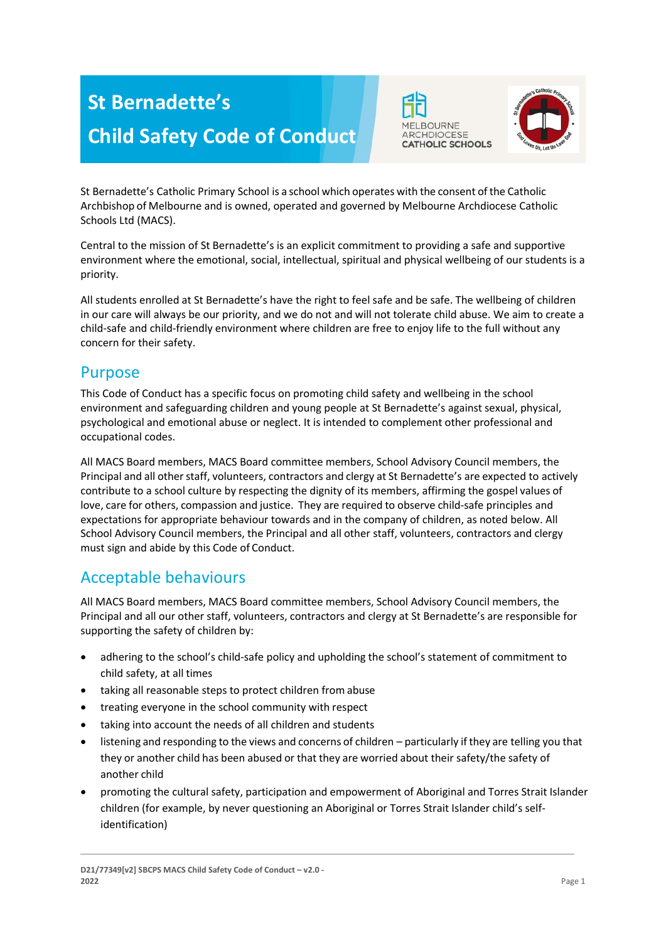# **St Bernadette's Child Safety Code of Conduct**





St Bernadette's Catholic Primary School is a school which operates with the consent of the Catholic Archbishop of Melbourne and is owned, operated and governed by Melbourne Archdiocese Catholic Schools Ltd (MACS).

Central to the mission of St Bernadette's is an explicit commitment to providing a safe and supportive environment where the emotional, social, intellectual, spiritual and physical wellbeing of our students is a priority.

All students enrolled at St Bernadette's have the right to feel safe and be safe. The wellbeing of children in our care will always be our priority, and we do not and will not tolerate child abuse. We aim to create a child-safe and child-friendly environment where children are free to enjoy life to the full without any concern for their safety.

#### Purpose

This Code of Conduct has a specific focus on promoting child safety and wellbeing in the school environment and safeguarding children and young people at St Bernadette's against sexual, physical, psychological and emotional abuse or neglect. It is intended to complement other professional and occupational codes.

All MACS Board members, MACS Board committee members, School Advisory Council members, the Principal and all other staff, volunteers, contractors and clergy at St Bernadette's are expected to actively contribute to a school culture by respecting the dignity of its members, affirming the gospel values of love, care for others, compassion and justice. They are required to observe child-safe principles and expectations for appropriate behaviour towards and in the company of children, as noted below. All School Advisory Council members, the Principal and all other staff, volunteers, contractors and clergy must sign and abide by this Code of Conduct.

# Acceptable behaviours

All MACS Board members, MACS Board committee members, School Advisory Council members, the Principal and all our other staff, volunteers, contractors and clergy at St Bernadette's are responsible for supporting the safety of children by:

- adhering to the school's child-safe policy and upholding the school's statement of commitment to child safety, at all times
- taking all reasonable steps to protect children from abuse
- treating everyone in the school community with respect
- taking into account the needs of all children and students
- listening and responding to the views and concerns of children particularly if they are telling you that they or another child has been abused or that they are worried about their safety/the safety of another child
- promoting the cultural safety, participation and empowerment of Aboriginal and Torres Strait Islander children (for example, by never questioning an Aboriginal or Torres Strait Islander child's selfidentification)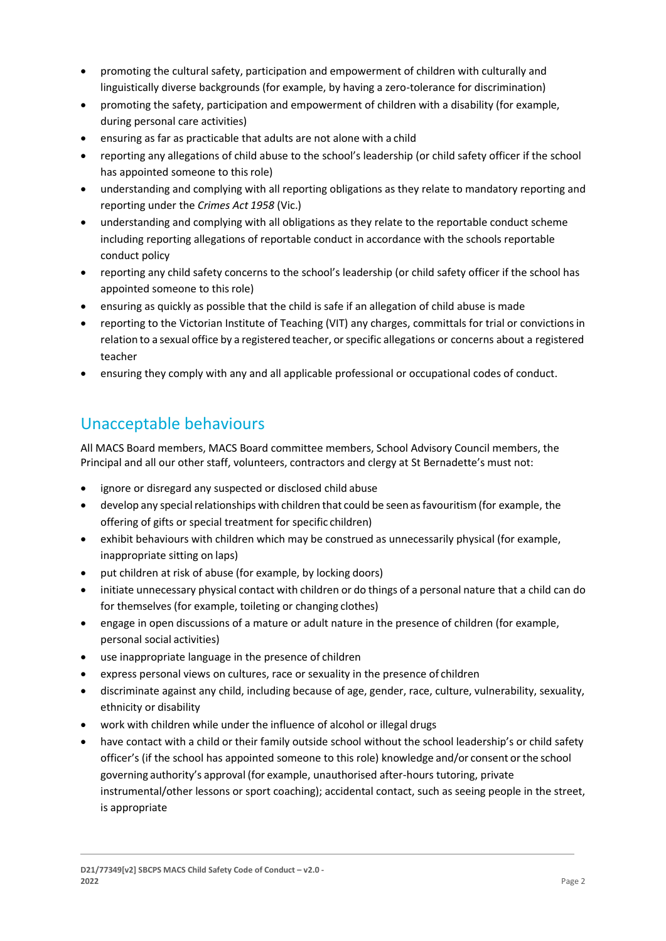- promoting the cultural safety, participation and empowerment of children with culturally and linguistically diverse backgrounds (for example, by having a zero-tolerance for discrimination)
- promoting the safety, participation and empowerment of children with a disability (for example, during personal care activities)
- ensuring as far as practicable that adults are not alone with a child
- reporting any allegations of child abuse to the school's leadership (or child safety officer if the school has appointed someone to this role)
- understanding and complying with all reporting obligations as they relate to mandatory reporting and reporting under the *Crimes Act 1958* (Vic.)
- understanding and complying with all obligations as they relate to the reportable conduct scheme including reporting allegations of reportable conduct in accordance with the schools reportable conduct policy
- reporting any child safety concerns to the school's leadership (or child safety officer if the school has appointed someone to this role)
- ensuring as quickly as possible that the child is safe if an allegation of child abuse is made
- reporting to the Victorian Institute of Teaching (VIT) any charges, committals for trial or convictions in relation to a sexual office by a registered teacher, or specific allegations or concerns about a registered teacher
- ensuring they comply with any and all applicable professional or occupational codes of conduct.

## Unacceptable behaviours

All MACS Board members, MACS Board committee members, School Advisory Council members, the Principal and all our other staff, volunteers, contractors and clergy at St Bernadette's must not:

- ignore or disregard any suspected or disclosed child abuse
- develop any special relationships with children that could be seen as favouritism (for example, the offering of gifts or special treatment for specific children)
- exhibit behaviours with children which may be construed as unnecessarily physical (for example, inappropriate sitting on laps)
- put children at risk of abuse (for example, by locking doors)
- initiate unnecessary physical contact with children or do things of a personal nature that a child can do for themselves (for example, toileting or changing clothes)
- engage in open discussions of a mature or adult nature in the presence of children (for example, personal social activities)
- use inappropriate language in the presence of children
- express personal views on cultures, race or sexuality in the presence of children
- discriminate against any child, including because of age, gender, race, culture, vulnerability, sexuality, ethnicity or disability
- work with children while under the influence of alcohol or illegal drugs
- have contact with a child or their family outside school without the school leadership's or child safety officer's (if the school has appointed someone to this role) knowledge and/or consent orthe school governing authority's approval (for example, unauthorised after-hours tutoring, private instrumental/other lessons or sport coaching); accidental contact, such as seeing people in the street, is appropriate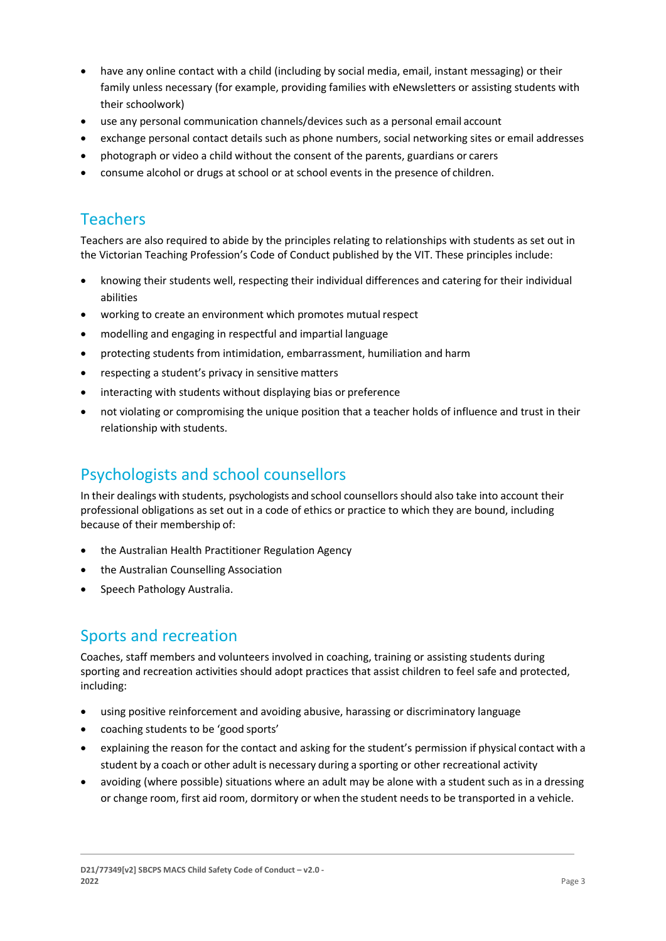- have any online contact with a child (including by social media, email, instant messaging) or their family unless necessary (for example, providing families with eNewsletters or assisting students with their schoolwork)
- use any personal communication channels/devices such as a personal email account
- exchange personal contact details such as phone numbers, social networking sites or email addresses
- photograph or video a child without the consent of the parents, guardians or carers
- consume alcohol or drugs at school or at school events in the presence of children.

#### **Teachers**

Teachers are also required to abide by the principles relating to relationships with students as set out in the Victorian Teaching Profession's Code of Conduct published by the VIT. These principles include:

- knowing their students well, respecting their individual differences and catering for their individual abilities
- working to create an environment which promotes mutual respect
- modelling and engaging in respectful and impartial language
- protecting students from intimidation, embarrassment, humiliation and harm
- respecting a student's privacy in sensitive matters
- interacting with students without displaying bias or preference
- not violating or compromising the unique position that a teacher holds of influence and trust in their relationship with students.

#### Psychologists and school counsellors

In their dealings with students, psychologists and school counsellors should also take into account their professional obligations as set out in a code of ethics or practice to which they are bound, including because of their membership of:

- the Australian Health Practitioner Regulation Agency
- the Australian Counselling Association
- Speech Pathology Australia.

# Sports and recreation

Coaches, staff members and volunteers involved in coaching, training or assisting students during sporting and recreation activities should adopt practices that assist children to feel safe and protected, including:

- using positive reinforcement and avoiding abusive, harassing or discriminatory language
- coaching students to be 'good sports'
- explaining the reason for the contact and asking for the student's permission if physical contact with a student by a coach or other adult is necessary during a sporting or other recreational activity
- avoiding (where possible) situations where an adult may be alone with a student such as in a dressing or change room, first aid room, dormitory or when the student needsto be transported in a vehicle.